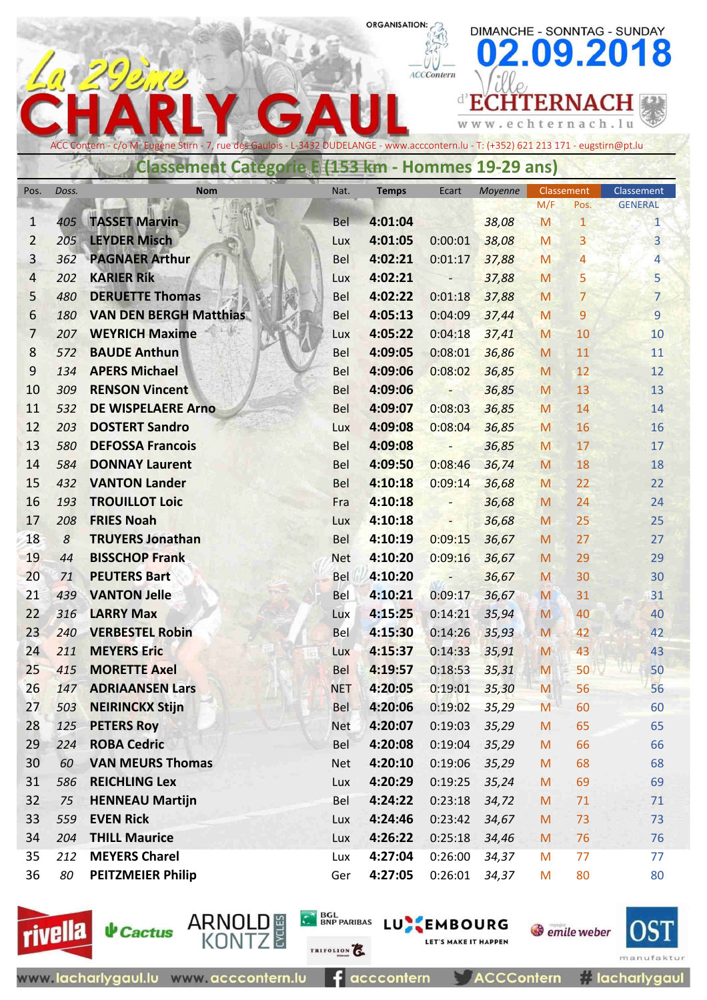## ORGANISATION:

DIMANCHE - SONNTAG - SUNDAY

|                                                                                                                                                                                                     |            |                                               |                   |                    |                                               |                   |            |                 | 02.09.2018     |  |  |  |
|-----------------------------------------------------------------------------------------------------------------------------------------------------------------------------------------------------|------------|-----------------------------------------------|-------------------|--------------------|-----------------------------------------------|-------------------|------------|-----------------|----------------|--|--|--|
|                                                                                                                                                                                                     |            |                                               |                   |                    | <b>ACCContern</b>                             |                   |            |                 |                |  |  |  |
|                                                                                                                                                                                                     |            |                                               |                   |                    |                                               | d'ECH             |            | <b>[TERNAC]</b> |                |  |  |  |
|                                                                                                                                                                                                     |            |                                               |                   |                    |                                               | www.echternach.lu |            |                 |                |  |  |  |
| ACC Contern - c/o M. Eugène Stirn - 7, rue des Gaulois - L-3432 DUDELANGE - www.acccontern.lu - T: (+352) 621 213 171 - eugstirn@pt.lu<br><b>Classement Categorie E (153 km - Hommes 19-29 ans)</b> |            |                                               |                   |                    |                                               |                   |            |                 |                |  |  |  |
| Pos.                                                                                                                                                                                                | Doss.      | <b>Nom</b>                                    | Nat.              | <b>Temps</b>       | Ecart                                         | Moyenne           | Classement |                 | Classement     |  |  |  |
|                                                                                                                                                                                                     |            |                                               |                   |                    |                                               |                   | M/F        | Pos.            | <b>GENERAL</b> |  |  |  |
| 1                                                                                                                                                                                                   | 405        | <b>TASSET Marvin</b>                          | <b>Bel</b>        | 4:01:04            |                                               | 38,08             | M          | $\mathbf{1}$    | $\mathbf{1}$   |  |  |  |
| $\overline{2}$                                                                                                                                                                                      | 205        | <b>LEYDER Misch</b>                           | Lux               | 4:01:05            | 0:00:01                                       | 38,08             | M          | 3               | 3              |  |  |  |
| $\overline{3}$                                                                                                                                                                                      | 362        | <b>PAGNAER Arthur</b>                         | <b>Bel</b>        | 4:02:21            | 0:01:17                                       | 37,88             | M          | 4               | $\overline{4}$ |  |  |  |
| 4                                                                                                                                                                                                   | 202        | <b>KARIER Rik</b>                             | Lux               | 4:02:21            | $\overline{\phantom{a}}$                      | 37,88             | M          | 5               | 5 <sup>5</sup> |  |  |  |
| 5                                                                                                                                                                                                   | 480        | <b>DERUETTE Thomas</b>                        | Bel               | 4:02:22            | 0:01:18                                       | 37,88             | M          | 7               | $\overline{7}$ |  |  |  |
| 6                                                                                                                                                                                                   | 180        | <b>VAN DEN BERGH Matthias</b>                 | <b>Bel</b>        | 4:05:13            | 0:04:09                                       | 37,44             | M          | 9               | 9              |  |  |  |
| 7                                                                                                                                                                                                   | 207        | <b>WEYRICH Maxime</b>                         | Lux               | 4:05:22            | 0:04:18                                       | 37,41             | M          | 10              | 10             |  |  |  |
| 8                                                                                                                                                                                                   | 572        | <b>BAUDE Anthun</b>                           | <b>Bel</b>        | 4:09:05            | 0:08:01                                       | 36,86             | M          | 11              | 11             |  |  |  |
| 9                                                                                                                                                                                                   | 134        | <b>APERS Michael</b>                          | <b>Bel</b>        | 4:09:06            | 0:08:02                                       | 36,85             | M          | 12              | 12             |  |  |  |
| 10                                                                                                                                                                                                  | 309        | <b>RENSON Vincent</b>                         | Bel               | 4:09:06            | $\overline{\phantom{a}}$                      | 36,85             | M          | 13              | 13             |  |  |  |
| 11                                                                                                                                                                                                  | 532        | <b>DE WISPELAERE Arno</b>                     | <b>Bel</b>        | 4:09:07            | 0:08:03                                       | 36,85             | M          | 14              | 14             |  |  |  |
| 12                                                                                                                                                                                                  | 203        | <b>DOSTERT Sandro</b>                         | Lux               | 4:09:08            | 0:08:04                                       | 36,85             | M          | 16              | 16             |  |  |  |
| 13                                                                                                                                                                                                  | 580        | <b>DEFOSSA Francois</b>                       | Bel               | 4:09:08            | $\overline{\phantom{a}}$                      | 36,85             | M          | 17              | 17             |  |  |  |
| 14                                                                                                                                                                                                  | 584        | <b>DONNAY Laurent</b>                         | <b>Bel</b>        | 4:09:50            | 0:08:46                                       | 36,74             | M          | 18              | 18             |  |  |  |
| 15<br>16                                                                                                                                                                                            | 432<br>193 | <b>VANTON Lander</b><br><b>TROUILLOT Loic</b> | <b>Bel</b>        | 4:10:18<br>4:10:18 | 0:09:14                                       | 36,68             | M          | 22<br>24        | 22             |  |  |  |
| 17                                                                                                                                                                                                  | 208        | <b>FRIES Noah</b>                             | Fra               | 4:10:18            | $\qquad \qquad -$<br>$\overline{\phantom{a}}$ | 36,68<br>36,68    | M<br>M     | 25              | 24<br>25       |  |  |  |
| 18                                                                                                                                                                                                  | 8          | <b>TRUYERS Jonathan</b>                       | Lux<br><b>Bel</b> | 4:10:19            | 0:09:15                                       | 36,67             | M          | 27              | 27             |  |  |  |
| 19                                                                                                                                                                                                  | 44         | <b>BISSCHOP Frank</b>                         | <b>Net</b>        | 4:10:20            | 0:09:16                                       | 36,67             | M          | 29              | 29             |  |  |  |
| 20                                                                                                                                                                                                  | 71         | <b>PEUTERS Bart</b>                           | Bel               | 4:10:20            | $\overline{\phantom{0}}$                      | 36,67             | M          | 30              | 30             |  |  |  |
| 21                                                                                                                                                                                                  | 439        | <b>VANTON Jelle</b>                           | Bel               | 4:10:21            | 0:09:17                                       | 36,67             | M          | 31              | 31             |  |  |  |
| 22                                                                                                                                                                                                  | 316        | <b>LARRY Max</b>                              | Lux               | 4:15:25            | 0:14:21                                       | 35,94             | M          | 40              | 40             |  |  |  |
| 23                                                                                                                                                                                                  | 240        | <b>VERBESTEL Robin</b>                        | <b>Bel</b>        | 4:15:30            | 0:14:26                                       | 35,93             | M          | 42              | 42             |  |  |  |
| 24                                                                                                                                                                                                  | 211        | <b>MEYERS Eric</b>                            | <b>Lux</b>        | 4:15:37            | 0:14:33                                       | 35,91             | M          | 43              | 43             |  |  |  |
| 25                                                                                                                                                                                                  | 415        | <b>MORETTE Axel</b>                           | <b>Bel</b>        | 4:19:57            | 0:18:53                                       | 35,31             | M          | 50              | 50             |  |  |  |
| 26                                                                                                                                                                                                  | 147        | <b>ADRIAANSEN Lars</b>                        | <b>NET</b>        | 4:20:05            | 0:19:01                                       | 35,30             | M          | 56              | 56             |  |  |  |
| 27                                                                                                                                                                                                  | 503        | <b>NEIRINCKX Stijn</b>                        | <b>Bel</b>        | 4:20:06            | 0:19:02                                       | 35,29             | M          | 60              | 60             |  |  |  |
| 28                                                                                                                                                                                                  | 125        | <b>PETERS Roy</b>                             | <b>Net</b>        | 4:20:07            | 0:19:03                                       | 35,29             | ${\sf M}$  | 65              | 65             |  |  |  |
| 29                                                                                                                                                                                                  | 224        | <b>ROBA Cedric</b>                            | Bel               | 4:20:08            | 0:19:04                                       | 35,29             | M          | 66              | 66             |  |  |  |
| 30                                                                                                                                                                                                  | 60         | <b>VAN MEURS Thomas</b>                       | <b>Net</b>        | 4:20:10            | 0:19:06                                       | 35,29             | M          | 68              | 68             |  |  |  |
| 31                                                                                                                                                                                                  | 586        | <b>REICHLING Lex</b>                          | Lux               | 4:20:29            | 0:19:25                                       | 35,24             | M          | 69              | 69             |  |  |  |
| 32                                                                                                                                                                                                  | 75         | <b>HENNEAU Martijn</b>                        | <b>Bel</b>        | 4:24:22            | 0:23:18                                       | 34,72             | M          | 71              | 71             |  |  |  |
| 33                                                                                                                                                                                                  | 559        | <b>EVEN Rick</b>                              | Lux               | 4:24:46            | 0:23:42                                       | 34,67             | M          | 73              | 73             |  |  |  |
| 34                                                                                                                                                                                                  | 204        | <b>THILL Maurice</b>                          | Lux               | 4:26:22            | 0:25:18                                       | 34,46             | M          | 76              | 76             |  |  |  |
| 35                                                                                                                                                                                                  | 212        | <b>MEYERS Charel</b>                          | Lux               | 4:27:04            | 0:26:00                                       | 34,37             | M          | 77              | 77             |  |  |  |
| 36                                                                                                                                                                                                  | 80         | <b>PEITZMEIER Philip</b>                      | Ger               | 4:27:05            | 0:26:01                                       | 34,37             | M          | 80              | 80             |  |  |  |



**↓** Cactus

ARNOLD #<br>KONTZ

 $f$  acccontern

TRIFOLION<sup>2</sup>

BGL BNP PARIBAS LU EMBOURG

**ACCContern** 

LET'S MAKE IT HAPPEN

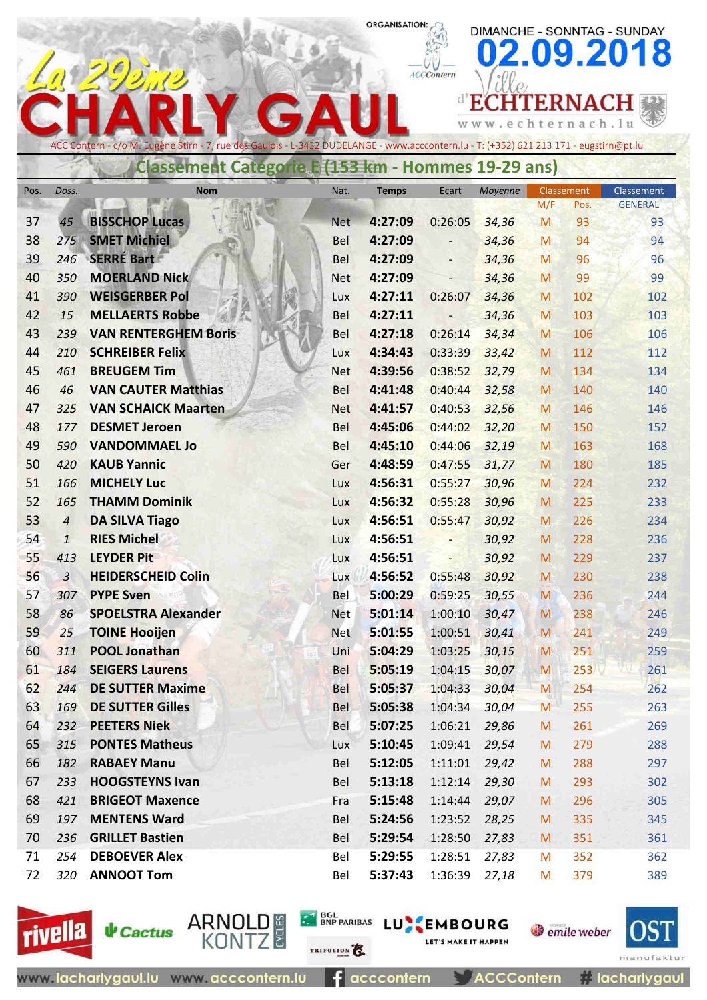## ORGANISATION:

DIMANCHE - SONNTAG - SUNDAY

|          |                |                                                                                                                                        |                   |                    |                    |                |        |                 | 02.09.2018     |
|----------|----------------|----------------------------------------------------------------------------------------------------------------------------------------|-------------------|--------------------|--------------------|----------------|--------|-----------------|----------------|
|          |                |                                                                                                                                        |                   |                    | <b>ACCContern</b>  |                |        |                 |                |
|          |                |                                                                                                                                        |                   |                    |                    |                |        | <b>ITERNACH</b> |                |
|          |                |                                                                                                                                        |                   |                    |                    |                |        | .echternach.lu  |                |
|          |                | ACC Contern - c/o M. Eugène Stirn - 7, rue des Gaulois - L-3432 DUDELANGE - www.acccontern.lu - T: (+352) 621 213 171 - eugstirn@pt.lu |                   |                    |                    |                |        |                 |                |
|          |                | <b>Classement Categorie E (153 km - Hommes 19-29 ans)</b>                                                                              |                   |                    |                    |                |        |                 |                |
| Pos.     | Doss.          | <b>Nom</b>                                                                                                                             | Nat.              | <b>Temps</b>       | Ecart              | Moyenne        |        | Classement      | Classement     |
|          |                |                                                                                                                                        |                   |                    |                    |                | M/F    | Pos.            | <b>GENERAL</b> |
| 37       | 45             | <b>BISSCHOP Lucas</b>                                                                                                                  | <b>Net</b>        | 4:27:09            | 0:26:05            | 34,36          | M      | 93              | 93             |
| 38       | 275            | <b>SMET Michiel</b>                                                                                                                    | <b>Bel</b>        | 4:27:09            |                    | 34,36          | M      | 94              | 94             |
| 39       | 246            | <b>SERRÉ Bart</b>                                                                                                                      | <b>Bel</b>        | 4:27:09            |                    | 34,36          | M      | 96              | 96             |
| 40       | 350            | <b>MOERLAND Nick</b>                                                                                                                   | <b>Net</b>        | 4:27:09            |                    | 34,36          | M      | 99              | 99             |
| 41       | 390            | <b>WEISGERBER Pol</b>                                                                                                                  | Lux               | 4:27:11            | 0:26:07            | 34,36          | M      | 102             | 102            |
| 42       | 15             | <b>MELLAERTS Robbe</b>                                                                                                                 | <b>Bel</b>        | 4:27:11            |                    | 34,36          | M      | 103             | 103            |
| 43       | 239            | <b>VAN RENTERGHEM Boris</b>                                                                                                            | <b>Bel</b>        | 4:27:18            | 0:26:14            | 34,34          | M      | 106             | 106            |
| 44       | 210            | <b>SCHREIBER Felix</b><br><b>BREUGEM Tim</b>                                                                                           | Lux               | 4:34:43            | 0:33:39            | 33,42          | M      | 112             | 112            |
| 45<br>46 | 461<br>46      | <b>VAN CAUTER Matthias</b>                                                                                                             | <b>Net</b><br>Bel | 4:39:56<br>4:41:48 | 0:38:52<br>0:40:44 | 32,79<br>32,58 | M<br>M | 134<br>140      | 134<br>140     |
| 47       | 325            | <b>VAN SCHAICK Maarten</b>                                                                                                             | <b>Net</b>        | 4:41:57            | 0:40:53            | 32,56          | M      | 146             | 146            |
| 48       | 177            | <b>DESMET Jeroen</b>                                                                                                                   | Bel               | 4:45:06            | 0:44:02            | 32,20          | M      | 150             | 152            |
| 49       | 590            | <b>VANDOMMAEL Jo</b>                                                                                                                   | Bel               | 4:45:10            | 0:44:06            | 32,19          | M      | 163             | 168            |
| 50       | 420            | <b>KAUB Yannic</b>                                                                                                                     | Ger               | 4:48:59            | 0:47:55            | 31,77          | M      | 180             | 185            |
| 51       | 166            | <b>MICHELY Luc</b>                                                                                                                     | Lux               | 4:56:31            | 0:55:27            | 30,96          | M      | 224             | 232            |
| 52       | 165            | <b>THAMM Dominik</b>                                                                                                                   | Lux               | 4:56:32            | 0:55:28            | 30,96          | M      | 225             | 233            |
| 53       | $\overline{4}$ | <b>DA SILVA Tiago</b>                                                                                                                  | Lux               | 4:56:51            | 0:55:47            | 30,92          | M      | 226             | 234            |
| 54       | $\mathbf{1}$   | <b>RIES Michel</b>                                                                                                                     | Lux               | 4:56:51            |                    | 30,92          | M      | 228             | 236            |
| 55       | 413            | <b>LEYDER Pit</b>                                                                                                                      | Lux               | 4:56:51            |                    | 30,92          | M      | 229             | 237            |
| 56       | 3              | <b>HEIDERSCHEID Colin</b>                                                                                                              | Lux               | 4:56:52            | 0:55:48            | 30,92          | M      | 230             | 238            |
| 57       | 307            | <b>PYPE Sven</b>                                                                                                                       | Bel               | 5:00:29            | 0:59:25            | 30,55          | M      | 236             | 244            |
| 58       | 86             | <b>SPOELSTRA Alexander</b>                                                                                                             | Net               | 5:01:14            | 1:00:10            | 30,47          | M      | 238             | 246            |
| 59       | 25             | <b>TOINE Hooijen</b>                                                                                                                   | <b>Net</b>        | 5:01:55            | 1:00:51            | 30,41          | M      | 241             | 249            |
| 60       | 311            | <b>POOL Jonathan</b>                                                                                                                   | Uni               | 5:04:29            | 1:03:25            | 30,15          | M      | 251             | 259            |
| 61       | 184            | <b>SEIGERS Laurens</b>                                                                                                                 | Bel               | 5:05:19            | 1:04:15            | 30,07          | M      | 253             | 261            |
| 62       | 244            | <b>DE SUTTER Maxime</b>                                                                                                                | Bel               | 5:05:37            | 1:04:33            | 30,04          | M      | 254             | 262            |
| 63       | 169            | <b>DE SUTTER Gilles</b>                                                                                                                | <b>Bel</b>        | 5:05:38            | 1:04:34            | 30,04          | M      | 255             | 263            |
| 64       | 232            | <b>PEETERS Niek</b>                                                                                                                    | Bel               | 5:07:25            | 1:06:21            | 29,86          | M      | 261             | 269            |
| 65       | 315            | <b>PONTES Matheus</b>                                                                                                                  | Lux               | 5:10:45            | 1:09:41            | 29,54          | M      | 279             | 288            |
| 66       | 182            | <b>RABAEY Manu</b>                                                                                                                     | Bel               | 5:12:05            | 1:11:01            | 29,42          | M      | 288             | 297            |
| 67       | 233            | <b>HOOGSTEYNS Ivan</b>                                                                                                                 | Bel               | 5:13:18            | 1:12:14            | 29,30          | M      | 293             | 302            |
| 68       | 421            | <b>BRIGEOT Maxence</b>                                                                                                                 | Fra               | 5:15:48            | 1:14:44            | 29,07          | M      | 296             | 305            |
| 69       | 197            | <b>MENTENS Ward</b>                                                                                                                    | Bel               | 5:24:56            | 1:23:52            | 28,25          | M      | 335             | 345            |
| 70       | 236            | <b>GRILLET Bastien</b>                                                                                                                 | Bel               | 5:29:54            | 1:28:50            | 27,83          | M      | 351             | 361            |
| 71       | 254            | <b>DEBOEVER Alex</b>                                                                                                                   | Bel               | 5:29:55            | 1:28:51            | 27,83          | M      | 352             | 362            |
| 72       | 320            | <b>ANNOOT Tom</b>                                                                                                                      | Bel               | 5:37:43            | 1:36:39            | 27,18          | M      | 379             | 389            |





ARNOLD #<br>KONTZ

 $f$  acccontern

TRIFOLION<sup>2</sup>

BGL BNP PARIBAS LU EMBOURG

ACCContern

LET'S MAKE IT HAPPEN

# lacharlygaul